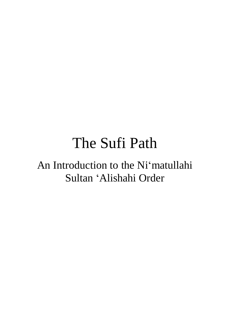# The Sufi Path

# An Introduction to the Ni'matullahi Sultan 'Alishahi Order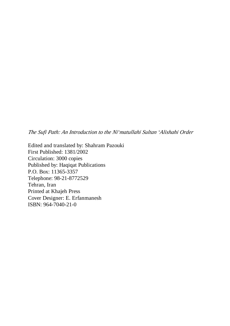*The Sufi Path: An Introduction to the Ni'matullahi Sultan 'Alishahi Order* 

Edited and translated by: Shahram Pazouki First Published: 1381/2002 Circulation: 3000 copies Published by: Haqiqat Publications P.O. Box: 11365-3357 Telephone: 98-21-8772529 Tehran, Iran Printed at Khajeh Press Cover Designer: E. Erfanmanesh ISBN: 964-7040-21-0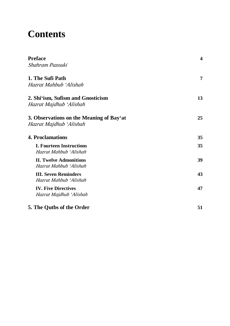# **Contents**

| Preface<br>Shahram Pazouki                                          | $\overline{\mathbf{4}}$ |
|---------------------------------------------------------------------|-------------------------|
| 1. The Sufi Path                                                    | 7                       |
| Hazrat Mahbub 'Alishah                                              |                         |
| 2. Shi'ism, Sufism and Gnosticism                                   | 13                      |
| Hazrat Majdhub 'Alishah                                             |                         |
| 3. Observations on the Meaning of Bay'at<br>Hazrat Majdhub 'Alishah | 25                      |
| <b>4. Proclamations</b>                                             | 35                      |
| <b>I. Fourteen Instructions</b><br>Hazrat Mahbub 'Alishah           | 35                      |
| <b>II. Twelve Admonitions</b><br>Hazrat Mahbub 'Alishah             | 39                      |
| <b>III. Seven Reminders</b><br>Hazrat Mahbub 'Alishah               | 43                      |
| <b>IV. Five Directives</b><br>Hazrat Majdhub 'Alishah               | 47                      |
| 5. The Qutbs of the Order                                           | 51                      |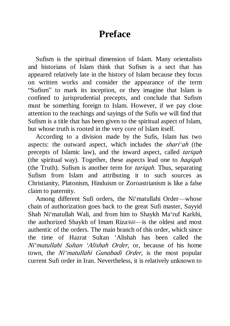# **Preface**

Sufism is the spiritual dimension of Islam. Many orientalists and historians of Islam think that Sufism is a sect that has appeared relatively late in the history of Islam because they focus on written works and consider the appearance of the term "Sufism" to mark its inception, or they imagine that Islam is confined to jurisprudential precepts, and conclude that Sufism must be something foreign to Islam. However, if we pay close attention to the teachings and sayings of the Sufis we will find that Sufism is a title that has been given to the spiritual aspect of Islam, but whose truth is rooted in the very core of Islam itself.

According to a division made by the Sufis, Islam has two aspects: the outward aspect, which includes the *shari'ah* (the precepts of Islamic law), and the inward aspect, called *tariqah* (the spiritual way). Together, these aspects lead one to *haqiqah* (the Truth). Sufism is another term for *tariqah*. Thus, separating Sufism from Islam and attributing it to such sources as Christianity, Platonism, Hinduism or Zoroastrianism is like a false claim to paternity.

Among different Sufi orders, the Ni'matullahi Order—whose chain of authorization goes back to the great Sufi master, Sayyid Shah Ni'matullah Wali, and from him to Shaykh Ma'ruf Karkhi, the authorized Shaykh of Imam Riza authentic of the orders. The main branch of this order, which since the time of Hazrat Sultan 'Alishah has been called the *Ni'matullahi Sultan 'Alishah Order*, or, because of his home town, the *Ni'matullahi Gunabadi Order*, is the most popular current Sufi order in Iran. Nevertheless, it is relatively unknown to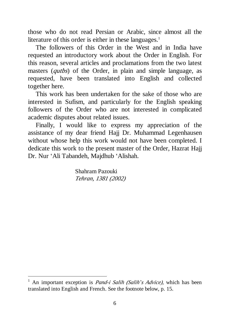those who do not read Persian or Arabic, since almost all the literature of this order is either in these languages. $<sup>1</sup>$ </sup>

The followers of this Order in the West and in India have requested an introductory work about the Order in English. For this reason, several articles and proclamations from the two latest masters (*qutbs*) of the Order, in plain and simple language, as requested, have been translated into English and collected together here.

This work has been undertaken for the sake of those who are interested in Sufism, and particularly for the English speaking followers of the Order who are not interested in complicated academic disputes about related issues.

Finally, I would like to express my appreciation of the assistance of my dear friend Hajj Dr. Muhammad Legenhausen without whose help this work would not have been completed. I dedicate this work to the present master of the Order, Hazrat Hajj Dr. Nur 'Ali Tabandeh, Majdhub 'Alishah.

> Shahram Pazouki *Tehran, 1381 (2002)*

<sup>1</sup> An important exception is *Pand-i Salih (Salih'<sup>s</sup> Advice),* which has been translated into English and French. See the footnote below, p. 15.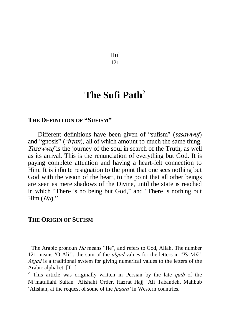$H<sub>II</sub>$ 121

# **The Sufi Path**<sup>2</sup>

#### **THE DEFINITION OF "SUFISM"**

Different definitions have been given of "sufism" (*tasawwuf*) and "gnosis" (*'irfan*), all of which amount to much the same thing. *Tasawwuf* is the journey of the soul in search of the Truth, as well as its arrival. This is the renunciation of everything but God. It is paying complete attention and having a heart-felt connection to Him. It is infinite resignation to the point that one sees nothing but God with the vision of the heart, to the point that all other beings are seen as mere shadows of the Divine, until the state is reached in which "There is no being but God," and "There is nothing but Him (*Hu*)."

### **THE ORIGIN OF SUFISM**

<sup>&</sup>lt;sup>1</sup> The Arabic pronoun  $Hu$  means "He", and refers to God, Allah. The number 121 means 'O Ali!'; the sum of the *abjad* values for the letters in *'Ya 'Ali'*. *Abjad* is a traditional system for giving numerical values to the letters of the Arabic alphabet. [Tr.]

<sup>2</sup> This article was originally written in Persian by the late *qutb* of the Ni'matullahi Sultan 'Alishahi Order, Hazrat Hajj 'Ali Tabandeh, Mahbub 'Alishah, at the request of some of the *fuqara'* in Western countries.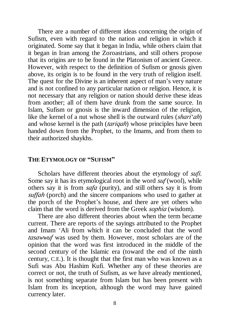There are a number of different ideas concerning the origin of Sufism, even with regard to the nation and religion in which it originated. Some say that it began in India, while others claim that it began in Iran among the Zoroastrians, and still others propose that its origins are to be found in the Platonism of ancient Greece. However, with respect to the definition of Sufism or gnosis given above, its origin is to be found in the very truth of religion itself. The quest for the Divine is an inherent aspect of man's very nature and is not confined to any particular nation or religion. Hence, it is not necessary that any religion or nation should derive these ideas from another; all of them have drunk from the same source. In Islam, Sufism or gnosis is the inward dimension of the religion, like the kernel of a nut whose shell is the outward rules (*shari'ah*) and whose kernel is the path (*tariqah*) whose principles have been handed down from the Prophet, to the Imams, and from them to their authorized shaykhs.

#### **THE ETYMOLOGY OF "SUFISM"**

Scholars have different theories about the etymology of *sufi*. Some say it has its etymological root in the word *suf* (wool), while others say it is from *safa* (purity), and still others say it is from *suffah* (porch) and the sincere companions who used to gather at the porch of the Prophet's house, and there are yet others who claim that the word is derived from the Greek *sophia* (wisdom).

There are also different theories about when the term became current. There are reports of the sayings attributed to the Prophet and Imam 'Ali from which it can be concluded that the word *tasawwuf* was used by them. However, most scholars are of the opinion that the word was first introduced in the middle of the second century of the Islamic era (toward the end of the ninth century, C.E.). It is thought that the first man who was known as a Sufi was Abu Hashim Kufi. Whether any of these theories are correct or not, the truth of Sufism, as we have already mentioned, is not something separate from Islam but has been present with Islam from its inception, although the word may have gained currency later.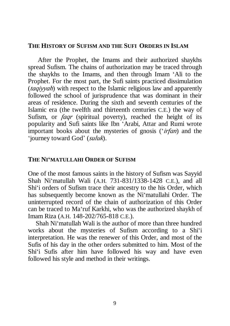### **THE HISTORY OF SUFISM AND THE SUFI ORDERS IN ISLAM**

After the Prophet, the Imams and their authorized shaykhs spread Sufism. The chains of authorization may be traced through the shaykhs to the Imams, and then through Imam 'Ali to the Prophet. For the most part, the Sufi saints practiced dissimulation (*taqiyyah*) with respect to the Islamic religious law and apparently followed the school of jurisprudence that was dominant in their areas of residence. During the sixth and seventh centuries of the Islamic era (the twelfth and thirteenth centuries C.E.) the way of Sufism, or *faqr* (spiritual poverty), reached the height of its popularity and Sufi saints like Ibn 'Arabi, Attar and Rumi wrote important books about the mysteries of gnosis ('*irfan*) and the 'journey toward God' (*suluk*).

### **THE NI'MATULLAHI ORDER OF SUFISM**

One of the most famous saints in the history of Sufism was Sayyid Shah Ni'matullah Wali (A.H. 731-831/1338-1428 C.E.), and all Shi'i orders of Sufism trace their ancestry to the his Order, which has subsequently become known as the Ni'matullahi Order. The uninterrupted record of the chain of authorization of this Order can be traced to Ma'ruf Karkhi, who was the authorized shaykh of Imam Riza (A.H. 148-202/765-818 C.E.).

Shah Ni'matullah Wali is the author of more than three hundred works about the mysteries of Sufism according to a Shi'i interpretation. He was the renewer of this Order, and most of the Sufis of his day in the other orders submitted to him. Most of the Shi'i Sufis after him have followed his way and have even followed his style and method in their writings.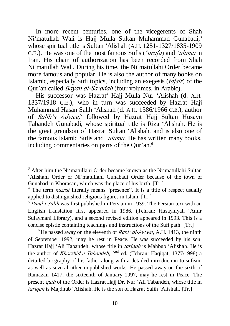In more recent centuries, one of the vicegerents of Shah Ni'matullah Wali is Haji Mulla Sultan Muhammad Gunabadi.<sup>3</sup> whose spiritual title is Sultan 'Alishah (A.H. 1251-1327/1835-1909 C.E.). He was one of the most famous Sufis (*'urafa*) and *'ulama* in Iran. His chain of authorization has been recorded from Shah Ni'matullah Wali. During his time, the Ni'matullahi Order became more famous and popular. He is also the author of many books on Islamic, especially Sufi topics, including an exegesis (*tafsir*) of the Qur'an called *Bayan al-Sa'adah* (four volumes, in Arabic).

His successor was Hazrat<sup>4</sup> Hajj Mulla Nur 'Alishah (d. A.H. 1337/1918 C.E.), who in turn was succeeded by Hazrat Hajj Muhammad Hasan Salih 'Alishah (d. A.H. 1386/1966 C.E.), author of *Salih'<sup>s</sup> Advice,* 5 followed by Hazrat Hajj Sultan Husayn Tabandeh Gunabadi, whose spiritual title is Riza 'Alishah. He is the great grandson of Hazrat Sultan 'Alishah, and is also one of the famous Islamic Sufis and *'ulama*. He has written many books, including commentaries on parts of the Qur'an.<sup>6</sup>

l

 $<sup>6</sup>$  He passed away on the eleventh of *Rabi<sup>\*</sup> al-Awwal*, A.H. 1413, the ninth</sup> of September 1992, may he rest in Peace. He was succeeded by his son, Hazrat Hajj 'Ali Tabandeh, whose title in *tariqah* is Mahbub 'Alishah. He is the author of *Khorshid-e Tabandeh*, 2<sup>nd</sup> ed. (Tehran: Haqiqat, 1377/1998) a detailed biography of his father along with a detailed introduction to sufism, as well as several other unpublished works. He passed away on the sixth of Ramazan 1417, the sixteenth of January 1997, may he rest in Peace. The present *qutb* of the Order is Hazrat Hajj Dr. Nur 'Ali Tabandeh, whose title in *tariqah* is Majdhub 'Alishah. He is the son of Hazrat Salih 'Alishah. [Tr.]

 $3$  After him the Ni'matullahi Order became known as the Ni'matullahi Sultan 'Alishahi Order or Ni'matullahi Gunabadi Order because of the town of Gunabad in Khorasan, which was the place of his birth. [Tr.]

<sup>&</sup>lt;sup>4</sup> The term *hazrat* literally means "presence". It is a title of respect usually applied to distinguished religious figures in Islam. [Tr.]

<sup>5</sup> *Pand-i Salih* was first published in Persian in 1939. The Persian text with an English translation first appeared in 1986, (Tehran: Husayniyah 'Amir Sulaymani Library), and a second revised edition appeared in 1993. This is a concise epistle containing teachings and instructions of the Sufi path. [Tr.]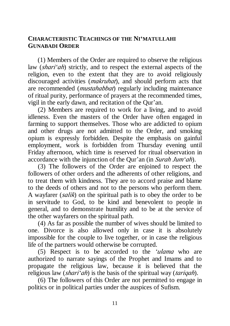# **CHARACTERISTIC TEACHINGS OF THE NI'MATULLAHI GUNABADI ORDER**

(1) Members of the Order are required to observe the religious law (*shari'ah*) strictly, and to respect the external aspects of the religion, even to the extent that they are to avoid religiously discouraged activities (*makruhat*), and should perform acts that are recommended (*mustahabbat*) regularly including maintenance of ritual purity, performance of prayers at the recommended times, vigil in the early dawn, and recitation of the Qur'an.

(2) Members are required to work for a living, and to avoid idleness. Even the masters of the Order have often engaged in farming to support themselves. Those who are addicted to opium and other drugs are not admitted to the Order, and smoking opium is expressly forbidden. Despite the emphasis on gainful employment, work is forbidden from Thursday evening until Friday afternoon, which time is reserved for ritual observation in accordance with the injunction of the Qur'an (in *Surah Jum'ah*).

(3) The followers of the Order are enjoined to respect the followers of other orders and the adherents of other religions, and to treat them with kindness. They are to accord praise and blame to the deeds of others and not to the persons who perform them. A wayfarer (*salik*) on the spiritual path is to obey the order to be in servitude to God, to be kind and benevolent to people in general, and to demonstrate humility and to be at the service of the other wayfarers on the spiritual path.

(4) As far as possible the number of wives should be limited to one. Divorce is also allowed only in case it is absolutely impossible for the couple to live together, or in case the religious life of the partners would otherwise be corrupted.

(5) Respect is to be accorded to the *'ulama* who are authorized to narrate sayings of the Prophet and Imams and to propagate the religious law, because it is believed that the religious law (*shari'ah*) is the basis of the spiritual way (*tariqah*).

(6) The followers of this Order are not permitted to engage in politics or in political parties under the auspices of Sufism.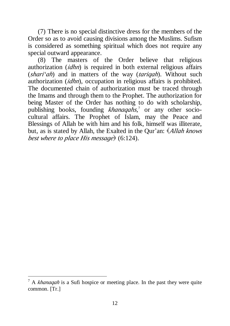(7) There is no special distinctive dress for the members of the Order so as to avoid causing divisions among the Muslims. Sufism is considered as something spiritual which does not require any special outward appearance.

(8) The masters of the Order believe that religious authorization (*idhn*) is required in both external religious affairs (*shari'ah*) and in matters of the way (*tariqah*). Without such authorization (*idhn*), occupation in religious affairs is prohibited. The documented chain of authorization must be traced through the Imams and through them to the Prophet. The authorization for being Master of the Order has nothing to do with scholarship, publishing books, founding *khanaqahs*, 7 or any other sociocultural affairs. The Prophet of Islam, may the Peace and Blessings of Allah be with him and his folk, himself was illiterate, but, as is stated by Allah, the Exalted in the Qur'an: (*Allah knows best where to place His message*) (6:124).

<sup>7</sup> A *khanaqah* is a Sufi hospice or meeting place. In the past they were quite common. [Tr.]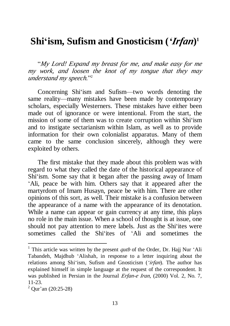# **Shi'ism, Sufism and Gnosticism (***'Irfan***) 1**

"*My Lord! Expand my breast for me, and make easy for me my work, and loosen the knot of my tongue that they may understand my speech.*" 2

Concerning Shi'ism and Sufism—two words denoting the same reality—many mistakes have been made by contemporary scholars, especially Westerners. These mistakes have either been made out of ignorance or were intentional. From the start, the mission of some of them was to create corruption within Shi'ism and to instigate sectarianism within Islam, as well as to provide information for their own colonialist apparatus. Many of them came to the same conclusion sincerely, although they were exploited by others.

The first mistake that they made about this problem was with regard to what they called the date of the historical appearance of Shi'ism. Some say that it began after the passing away of Imam 'Ali, peace be with him. Others say that it appeared after the martyrdom of Imam Husayn, peace be with him. There are other opinions of this sort, as well. Their mistake is a confusion between the appearance of a name with the appearance of its denotation. While a name can appear or gain currency at any time, this plays no role in the main issue. When a school of thought is at issue, one should not pay attention to mere labels. Just as the Shi'ites were sometimes called the Shi'ites of 'Ali and sometimes the

<sup>1</sup> This article was written by the present *qutb* of the Order, Dr. Hajj Nur 'Ali Tabandeh, Majdhub 'Alishah, in response to a letter inquiring about the relations among Shi'ism, Sufism and Gnosticism (*'irfan*). The author has explained himself in simple language at the request of the correspondent. It was published in Persian in the Journal *Erfan-e Iran*, (2000) Vol. 2, No. 7, 11-23.

 $^{2}$  Our'an (20:25-28)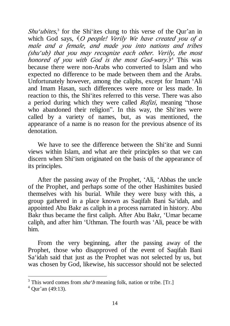Shu<sup>*'ubites*,<sup>3</sup> for the Shi'ites clung to this verse of the Qur'an in</sup> which God says, (*<sup>O</sup> people! Verily We have created you of <sup>a</sup> male and <sup>a</sup> female, and made you into nations and tribes (shu'ub) that you may recognize each other. Verily, the most honored of you with God is the most God-wary.*) <sup>4</sup> This was because there were non-Arabs who converted to Islam and who expected no difference to be made between them and the Arabs. Unfortunately however, among the caliphs, except for Imam 'Ali and Imam Hasan, such differences were more or less made. In reaction to this, the Shi'ites referred to this verse. There was also a period during which they were called *Rafizi*, meaning "those who abandoned their religion". In this way, the Shi'ites were called by a variety of names, but, as was mentioned, the appearance of a name is no reason for the previous absence of its denotation.

We have to see the difference between the Shi<sup>-1</sup>ite and Sunni views within Islam, and what are their principles so that we can discern when Shi'ism originated on the basis of the appearance of its principles.

After the passing away of the Prophet, 'Ali, 'Abbas the uncle of the Prophet, and perhaps some of the other Hashimites busied themselves with his burial. While they were busy with this, a group gathered in a place known as Saqifah Bani Sa'idah, and appointed Abu Bakr as caliph in a process narrated in history. Abu Bakr thus became the first caliph. After Abu Bakr, 'Umar became caliph, and after him 'Uthman. The fourth was 'Ali, peace be with him.

From the very beginning, after the passing away of the Prophet, those who disapproved of the event of Saqifah Bani Sa'idah said that just as the Prophet was not selected by us, but was chosen by God, likewise, his successor should not be selected

 $3$  This word comes from  $sha<sup>2</sup>b$  meaning folk, nation or tribe. [Tr.]

 $^{4}$  Our'an (49:13).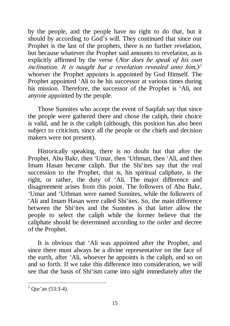by the people, and the people have no right to do that, but it should by according to God's will. They continued that since our Prophet is the last of the prophets, there is no further revelation, but because whatever the Prophet said amounts to revelation, as is explicitly affirmed by the verse (*Nor does he speak of his own inclination. It is naught but <sup>a</sup> revelation revealed unto him,*) 5 whoever the Prophet appoints is appointed by God Himself. The Prophet appointed 'Ali to be his successor at various times during his mission. Therefore, the successor of the Prophet is 'Ali, not anyone appointed by the people.

Those Sunnites who accept the event of Saqifah say that since the people were gathered there and chose the caliph, their choice is valid, and he is the caliph (although, this position has also been subject to criticism, since all the people or the chiefs and decision makers were not present).

Historically speaking, there is no doubt but that after the Prophet, Abu Bakr, then 'Umar, then 'Uthman, then 'Ali, and then Imam Hasan became caliph. But the Shi'ites say that the real succession to the Prophet, that is, his spiritual caliphate, is the right, or rather, the duty of 'Ali. The major difference and disagreement arises from this point. The followers of Abu Bakr, 'Umar and 'Uthman were named Sunnites, while the followers of 'Ali and Imam Hasan were called Shi'ites. So, the main difference between the Shi'ites and the Sunnites is that latter allow the people to select the caliph while the former believe that the caliphate should be determined according to the order and decree of the Prophet.

It is obvious that 'Ali was appointed after the Prophet, and since there must always be a divine representative on the face of the earth, after 'Ali, whoever he appoints is the caliph, and so on and so forth. If we take this difference into consideration, we will see that the basis of Shi'ism came into sight immediately after the

 $5$  Our'an (53:3-4).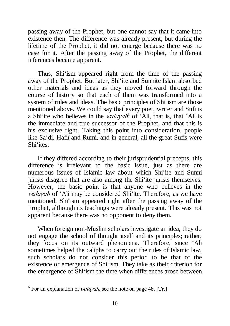passing away of the Prophet, but one cannot say that it came into existence then. The difference was already present, but during the lifetime of the Prophet, it did not emerge because there was no case for it. After the passing away of the Prophet, the different inferences became apparent.

Thus, Shi'ism appeared right from the time of the passing away of the Prophet. But later, Shi'ite and Sunnite Islam absorbed other materials and ideas as they moved forward through the course of history so that each of them was transformed into a system of rules and ideas. The basic principles of Shi'ism are those mentioned above. We could say that every poet, writer and Sufi is a Shi'ite who believes in the *walayah* 6 of 'Ali, that is, that 'Ali is the immediate and true successor of the Prophet, and that this is his exclusive right. Taking this point into consideration, people like Sa'di, Hafiî and Rumi, and in general, all the great Sufis were Shi'ites.

If they differed according to their jurisprudential precepts, this difference is irrelevant to the basic issue, just as there are numerous issues of Islamic law about which Shi'ite and Sunni jurists disagree that are also among the Shi'ite jurists themselves. However, the basic point is that anyone who believes in the *walayah* of 'Ali may be considered Shi'ite. Therefore, as we have mentioned, Shi'ism appeared right after the passing away of the Prophet, although its teachings were already present. This was not apparent because there was no opponent to deny them.

When foreign non-Muslim scholars investigate an idea, they do not engage the school of thought itself and its principles; rather, they focus on its outward phenomena. Therefore, since 'Ali sometimes helped the caliphs to carry out the rules of Islamic law, such scholars do not consider this period to be that of the existence or emergence of Shi'ism. They take as their criterion for the emergence of Shi'ism the time when differences arose between

<sup>6</sup> For an explanation of *walayah*, see the note on page 48. [Tr.]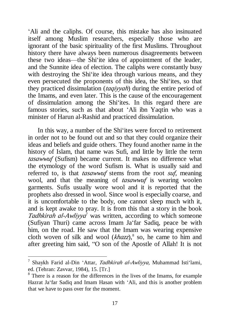'Ali and the caliphs. Of course, this mistake has also insinuated itself among Muslim researchers, especially those who are ignorant of the basic spirituality of the first Muslims. Throughout history there have always been numerous disagreements between these two ideas—the Shi'ite idea of appointment of the leader, and the Sunnite idea of election. The caliphs were constantly busy with destroying the Shi'ite idea through various means, and they even persecuted the proponents of this idea, the Shi'ites, so that they practiced dissimulation (*taqiyyah*) during the entire period of the Imams, and even later. This is the cause of the encouragement of dissimulation among the Shi'ites. In this regard there are famous stories, such as that about 'Ali ibn Yaqtin who was a minister of Harun al-Rashid and practiced dissimulation.

In this way, a number of the Shi'ites were forced to retirement in order not to be found out and so that they could organize their ideas and beliefs and guide others. They found another name in the history of Islam, that name was Sufi, and little by little the term *tasawwuf* (Sufism) became current. It makes no difference what the etymology of the word Sufism is. What is usually said and referred to, is that *tasawwuf* stems from the root *suf*, meaning wool, and that the meaning of *tasawwuf* is wearing woolen garments. Sufis usually wore wool and it is reported that the prophets also dressed in wool. Since wool is especially coarse, and it is uncomfortable to the body, one cannot sleep much with it, and is kept awake to pray. It is from this that a story in the book *Tadhkirah al-Awliyya* <sup>7</sup> was written, according to which someone (Sufiyan Thuri) came across Imam Ja'far Sadiq, peace be with him, on the road. He saw that the Imam was wearing expensive cloth woven of silk and wool (*khazz*),<sup>8</sup> so, he came to him and after greeting him said, "O son of the Apostle of Allah! It is not

<sup>7</sup> Shaykh Farid al-Din 'Attar, *Tadhkirah al-Awliyya,* Muhammad Isti'lami, ed. (Tehran: Zavvar, 1984), 15. [Tr.]

<sup>8</sup> There is a reason for the differences in the lives of the Imams, for example Hazrat Ja'far Sadiq and Imam Hasan with 'Ali, and this is another problem that we have to pass over for the moment.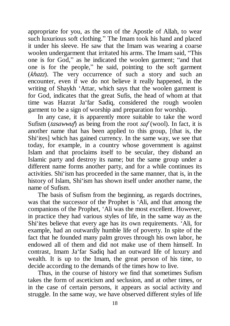appropriate for you, as the son of the Apostle of Allah, to wear such luxurious soft clothing." The Imam took his hand and placed it under his sleeve. He saw that the Imam was wearing a coarse woolen undergarment that irritated his arms. The Imam said, "This one is for God," as he indicated the woolen garment; "and that one is for the people," he said, pointing to the soft garment (*khazz*). The very occurrence of such a story and such an encounter, even if we do not believe it really happened, in the writing of Shaykh 'Attar, which says that the woolen garment is for God, indicates that the great Sufis, the head of whom at that time was Hazrat Ja'far Sadiq, considered the rough woolen garment to be a sign of worship and preparation for worship.

In any case, it is apparently more suitable to take the word Sufism (*tasawwuf*) as being from the root *suf* (wool). In fact, it is another name that has been applied to this group, [that is, the Shi'ites] which has gained currency. In the same way, we see that today, for example, in a country whose government is against Islam and that proclaims itself to be secular, they disband an Islamic party and destroy its name; but the same group under a different name forms another party, and for a while continues its activities. Shi'ism has proceeded in the same manner, that is, in the history of Islam, Shi'ism has shown itself under another name, the name of Sufism.

The basis of Sufism from the beginning, as regards doctrines, was that the successor of the Prophet is 'Ali, and that among the companions of the Prophet, 'Ali was the most excellent. However, in practice they had various styles of life, in the same way as the Shi'ites believe that every age has its own requirements. 'Ali, for example, had an outwardly humble life of poverty. In spite of the fact that he founded many palm groves through his own labor, he endowed all of them and did not make use of them himself. In contrast, Imam Ja'far Sadiq had an outward life of luxury and wealth. It is up to the Imam, the great person of his time, to decide according to the demands of the times how to live.

Thus, in the course of history we find that sometimes Sufism takes the form of asceticism and seclusion, and at other times, or in the case of certain persons, it appears as social activity and struggle. In the same way, we have observed different styles of life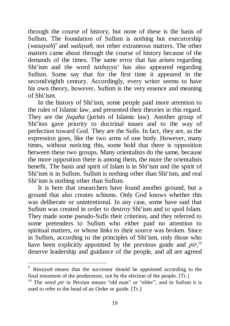through the course of history, but none of these is the basis of Sufism. The foundation of Sufism is nothing but executorship (*wasayah*) 9 and *walayah*, not other extraneous matters. The other matters came about through the course of history because of the demands of the times. The same error that has arisen regarding Shi'ism and the word *tashayyu'* has also appeared regarding Sufism. Some say that for the first time it appeared in the second/eighth century. Accordingly, every writer seems to have his own theory, however, Sufism is the very essence and meaning of Shi'ism.

In the history of Shi'ism, some people paid more attention to the rules of Islamic law, and presented their theories in this regard. They are the *fuqaha* (jurists of Islamic law). Another group of Shi'ites gave priority to doctrinal issues and to the way of perfection toward God. They are the Sufis. In fact, they are, as the expression goes, like the two arms of one body. However, many times, without noticing this, some hold that there is opposition between these two groups. Many orientalists do the same, because the more opposition there is among them, the more the orientalists benefit. The basis and spirit of Islam is in Shi'ism and the spirit of Shi'ism is in Sufism. Sufism is nothing other than Shi'ism, and real Shi'ism is nothing other than Sufism.

It is here that researchers have found another ground, but a ground that also creates schisms. Only God knows whether this was deliberate or unintentional. In any case, some have said that Sufism was created in order to destroy Shi'ism and to spoil Islam. They made some pseudo-Sufis their criterion, and they referred to some pretenders to Sufism who either paid no attention to spiritual matters, or whose links to their source was broken. Since in Sufism, according to the principles of Shi'ism, only those who have been explicitly appointed by the previous guide and *pir*,<sup>10</sup> deserve leadership and guidance of the people, and all are agreed

<sup>9</sup> *Wasayah* means that the successor should be appointed according to the final testament of the predecessor, not by the election of the people. [Tr.]

<sup>&</sup>lt;sup>10</sup> The word *pir* in Persian means "old man" or "elder", and in Sufism it is used to refer to the head of an Order or guide. [Tr.]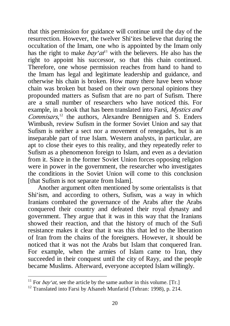that this permission for guidance will continue until the day of the resurrection. However, the twelver Shi'ites believe that during the occultation of the Imam, one who is appointed by the Imam only has the right to make  $bay'at^1$  with the believers. He also has the right to appoint his successor, so that this chain continued. Therefore, one whose permission reaches from hand to hand to the Imam has legal and legitimate leadership and guidance, and otherwise his chain is broken. How many there have been whose chain was broken but based on their own personal opinions they propounded matters as Sufism that are no part of Sufism. There are a small number of researchers who have noticed this. For example, in a book that has been translated into Farsi, *Mystics and Commisars*, <sup>12</sup> the authors, Alexandre Bennigsen and S. Enders Wimbush, review Sufism in the former Soviet Union and say that Sufism is neither a sect nor a movement of renegades, but is an inseparable part of true Islam. Western analysts, in particular, are apt to close their eyes to this reality, and they repeatedly refer to Sufism as a phenomenon foreign to Islam, and even as a deviation from it. Since in the former Soviet Union forces opposing religion were in power in the government, the researcher who investigates the conditions in the Soviet Union will come to this conclusion [that Sufism is not separate from Islam].

Another argument often mentioned by some orientalists is that Shi'ism, and according to others, Sufism, was a way in which Iranians combated the governance of the Arabs after the Arabs conquered their country and defeated their royal dynasty and government. They argue that it was in this way that the Iranians showed their reaction, and that the history of much of the Sufi resistance makes it clear that it was this that led to the liberation of Iran from the chains of the foreigners. However, it should be noticed that it was not the Arabs but Islam that conquered Iran. For example, when the armies of Islam came to Iran, they succeeded in their conquest until the city of Rayy, and the people became Muslims. Afterward, everyone accepted Islam willingly.

<sup>&</sup>lt;sup>11</sup> For  $bay'at$ , see the article by the same author in this volume. [Tr.]

<sup>&</sup>lt;sup>12</sup> Translated into Farsi by Afsaneh Munfarid (Tehran: 1998), p. 214.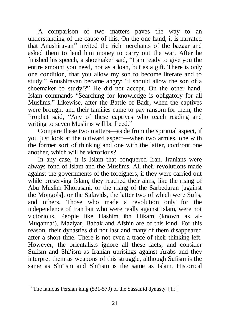A comparison of two matters paves the way to an understanding of the cause of this. On the one hand, it is narrated that Anushiravan<sup>13</sup> invited the rich merchants of the bazaar and asked them to lend him money to carry out the war. After he finished his speech, a shoemaker said, "I am ready to give you the entire amount you need, not as a loan, but as a gift. There is only one condition, that you allow my son to become literate and to study." Anushiravan became angry: "I should allow the son of a shoemaker to study!?" He did not accept. On the other hand, Islam commands "Searching for knowledge is obligatory for all Muslims." Likewise, after the Battle of Badr, when the captives were brought and their families came to pay ransom for them, the Prophet said, "Any of these captives who teach reading and writing to seven Muslims will be freed."

Compare these two matters—aside from the spiritual aspect, if you just look at the outward aspect—when two armies, one with the former sort of thinking and one with the latter, confront one another, which will be victorious?

In any case, it is Islam that conquered Iran. Iranians were always fond of Islam and the Muslims. All their revolutions made against the governments of the foreigners, if they were carried out while preserving Islam, they reached their aims, like the rising of Abu Muslim Khorasani, or the rising of the Sarbedaran [against the Mongols], or the Safavids, the latter two of which were Sufis, and others. Those who made a revolution only for the independence of Iran but who were really against Islam, were not victorious. People like Hashim ibn Hikam (known as al-Muqanna'), Maziyar, Babak and Afshin are of this kind. For this reason, their dynasties did not last and many of them disappeared after a short time. There is not even a trace of their thinking left. However, the orientalists ignore all these facts, and consider Sufism and Shi'ism as Iranian uprisings against Arabs and they interpret them as weapons of this struggle, although Sufism is the same as Shi'ism and Shi'ism is the same as Islam. Historical

 $13$  The famous Persian king (531-579) of the Sassanid dynasty. [Tr.]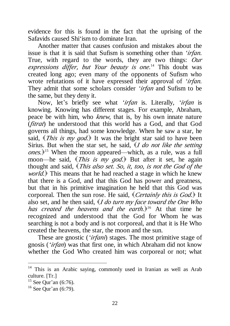evidence for this is found in the fact that the uprising of the Safavids caused Shi'ism to dominate Iran.

Another matter that causes confusion and mistakes about the issue is that it is said that Sufism is something other than *'irfan*. True, with regard to the words, they are two things: *Our expressions differ, but Your beauty is one*. <sup>14</sup> This doubt was created long ago; even many of the opponents of Sufism who wrote refutations of it have expressed their approval of *'irfan*. They admit that some scholars consider *'irfan* and Sufism to be the same, but they deny it.

Now, let's briefly see what *'irfan* is. Literally, *'irfan* is knowing. Knowing has different stages. For example, Abraham, peace be with him, who *knew*, that is, by his own innate nature (*fitrat*) he understood that this world has a God, and that God governs all things, had some knowledge. When he saw a star, he said, (*This is my god.*) It was the bright star said to have been Sirius. But when the star set, he said, (*<sup>I</sup> do not like the setting ones.*) <sup>15</sup> When the moon appeared—which, as a rule, was a full moon—he said, *(This is my god.)* But after it set, he again thought and said, (*This also set. So, it, too, is not the God of the world.*) This means that he had reached a stage in which he knew that there is a God, and that this God has power and greatness, but that in his primitive imagination he held that this God was corporeal. Then the sun rose. He said, (*Certainly this is God.*) It also set, and he then said, (*<sup>I</sup> do turn my face toward the One Who has created the heavens and the earth.*) <sup>16</sup> At that time he recognized and understood that the God for Whom he was searching is not a body and is not corporeal, and that it is He Who created the heavens, the star, the moon and the sun.

These are gnostic (*'irfani*) stages. The most primitive stage of gnosis (*'irfan*) was that first one, in which Abraham did not know whether the God Who created him was corporeal or not; what

<sup>&</sup>lt;sup>14</sup> This is an Arabic saying, commonly used in Iranian as well as Arab culture. [Tr.]

 $15$  See Qur'an (6:76).

 $16$  See Qur'an (6:79).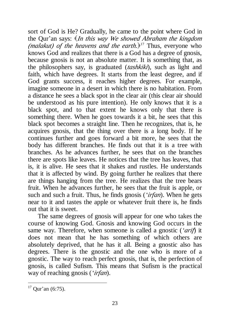sort of God is He? Gradually, he came to the point where God in the Qur'an says: (*In this way We showed Abraham the kingdom (malakut) of the heavens and the earth.*) <sup>17</sup> Thus, everyone who knows God and realizes that there is a God has a degree of gnosis, because gnosis is not an absolute matter. It is something that, as the philosophers say, is graduated (*tashkiki*), such as light and faith, which have degrees. It starts from the least degree, and if God grants success, it reaches higher degrees. For example, imagine someone in a desert in which there is no habitation. From a distance he sees a black spot in the clear air (this clear air should be understood as his pure intention). He only knows that it is a black spot, and to that extent he knows only that there is something there. When he goes towards it a bit, he sees that this black spot becomes a straight line. Then he recognizes, that is, he acquires gnosis, that the thing over there is a long body. If he continues further and goes forward a bit more, he sees that the body has different branches. He finds out that it is a tree with branches. As he advances further, he sees that on the branches there are spots like leaves. He notices that the tree has leaves, that is, it is alive. He sees that it shakes and rustles. He understands that it is affected by wind. By going further he realizes that there are things hanging from the tree. He realizes that the tree bears fruit. When he advances further, he sees that the fruit is apple, or such and such a fruit. Thus, he finds gnosis (*'irfan*). When he gets near to it and tastes the apple or whatever fruit there is, he finds out that it is sweet.

The same degrees of gnosis will appear for one who takes the course of knowing God. Gnosis and knowing God occurs in the same way. Therefore, when someone is called a gnostic (*'arif*) it does not mean that he has something of which others are absolutely deprived, that he has it all. Being a gnostic also has degrees. There is the gnostic and the one who is more of a gnostic. The way to reach perfect gnosis, that is, the perfection of gnosis, is called Sufism. This means that Sufism is the practical way of reaching gnosis (*'irfan*).

 $17$  Qur'an (6:75).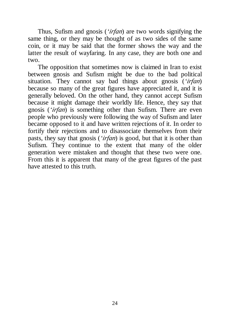Thus, Sufism and gnosis (*'irfan*) are two words signifying the same thing, or they may be thought of as two sides of the same coin, or it may be said that the former shows the way and the latter the result of wayfaring. In any case, they are both one and two.

The opposition that sometimes now is claimed in Iran to exist between gnosis and Sufism might be due to the bad political situation. They cannot say bad things about gnosis (*'irfan*) because so many of the great figures have appreciated it, and it is generally beloved. On the other hand, they cannot accept Sufism because it might damage their worldly life. Hence, they say that gnosis (*'irfan*) is something other than Sufism. There are even people who previously were following the way of Sufism and later became opposed to it and have written rejections of it. In order to fortify their rejections and to disassociate themselves from their pasts, they say that gnosis (*'irfan*) is good, but that it is other than Sufism. They continue to the extent that many of the older generation were mistaken and thought that these two were one. From this it is apparent that many of the great figures of the past have attested to this truth.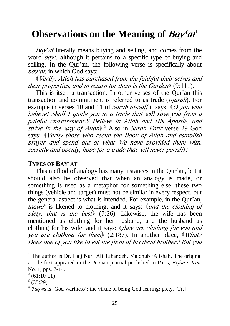# **Observations on the Meaning of** *Bay'at* 1

*Bay'at* literally means buying and selling, and comes from the word *bay',* although it pertains to a specific type of buying and selling. In the Qur'an, the following verse is specifically about *bay'at,* in which God says:

(*Verily, Allah has purchased from the faithful their selves and their properties, and in return for them is the Garden*) (9:111).

This is itself a transaction. In other verses of the Qur'an this transaction and commitment is referred to as trade (*tijarah*). For example in verses 10 and 11 of *Surah al-Saff* it says:  $\langle O \rangle$  *you who believe! Shall I guide you to <sup>a</sup> trade that will save you from <sup>a</sup> painful chastisement?/ Believe in Allah and His Apostle, and strive in the way of Allah*). <sup>2</sup> Also in *Surah Fatir* verse 29 God says: (*Verily those who recite the Book of Allah and establish prayer and spend out of what We have provided them with, secretly and openly, hope for <sup>a</sup> trade that will never perish*). 3

#### **TYPES OF BAY'AT**

This method of analogy has many instances in the Qur'an, but it should also be observed that when an analogy is made, or something is used as a metaphor for something else, these two things (vehicle and target) must not be similar in every respect, but the general aspect is what is intended. For example, in the Qur'an, *taqwa*<sup>4</sup> is likened to clothing, and it says: (*and the clothing of piety, that is the best*) (7:26). Likewise, the wife has been mentioned as clothing for her husband, and the husband as clothing for his wife; and it says: (*they are clothing for you and you are clothing for them*) (2:187). In another place,  $\mathcal{W}_{hat?}$ *Does one of you like to eat the flesh of his dead brother? But you* 

<sup>&</sup>lt;sup>1</sup> The author is Dr. Hajj Nur 'Ali Tabandeh, Majdhub 'Alishah. The original article first appeared in the Persian journal published in Paris, *Erfan-e Iran,*  No. 1, pps. 7-14.

 $2(61:10-11)$ 

 $(35:29)$ 

<sup>4</sup> *Taqwa* is 'God-wariness'; the virtue of being God-fearing; piety. [Tr.]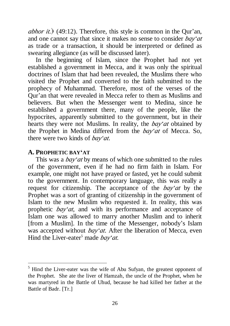*abhor it.*) (49:12). Therefore, this style is common in the Qur'an, and one cannot say that since it makes no sense to consider *bay'at*  as trade or a transaction, it should be interpreted or defined as swearing allegiance (as will be discussed later).

In the beginning of Islam, since the Prophet had not yet established a government in Mecca, and it was only the spiritual doctrines of Islam that had been revealed, the Muslims there who visited the Prophet and converted to the faith submitted to the prophecy of Muhammad. Therefore, most of the verses of the Qur'an that were revealed in Mecca refer to them as Muslims and believers. But when the Messenger went to Medina, since he established a government there, many of the people, like the hypocrites, apparently submitted to the government, but in their hearts they were not Muslims. In reality, the *bay'at* obtained by the Prophet in Medina differed from the *bay'at* of Mecca. So, there were two kinds of *bay'at*.

### **A. PROPHETIC BAY'AT**

l

This was a *bay'at* by means of which one submitted to the rules of the government, even if he had no firm faith in Islam. For example, one might not have prayed or fasted, yet he could submit to the government. In contemporary language, this was really a request for citizenship. The acceptance of the *bay'at* by the Prophet was a sort of granting of citizenship in the government of Islam to the new Muslim who requested it. In reality, this was prophetic *bay'at*, and with its performance and acceptance of Islam one was allowed to marry another Muslim and to inherit [from a Muslim]. In the time of the Messenger, nobody's Islam was accepted without *bay'at*. After the liberation of Mecca, even Hind the Liver-eater<sup>5</sup> made *bay'at*.

<sup>&</sup>lt;sup>5</sup> Hind the Liver-eater was the wife of Abu Sufyan, the greatest opponent of the Prophet. She ate the liver of Hamzah, the uncle of the Prophet, when he was martyred in the Battle of Uhud, because he had killed her father at the Battle of Badr. [Tr.]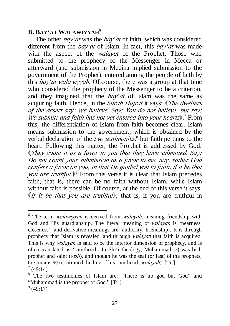### **B. BAY'AT WALAWIYYAH**<sup>6</sup>

The other *bay'at* was the *bay'at* of faith, which was considered different from the *bay'at* of Islam. In fact, this *bay'at* was made with the aspect of the *walayat* of the Prophet. Those who submitted to the prophecy of the Messenger in Mecca or afterward (and submission in Medina implied submission to the government of the Prophet), entered among the people of faith by this *bay'at walawiyyah*. Of course, there was a group at that time who considered the prophecy of the Messenger to be a criterion, and they imagined that the *bay'at* of Islam was the same as acquiring faith. Hence, in the *Surah Hujrat* it says: (*The dwellers of the desert say: We believe. Say: You do not believe, but say: We submit; and faith has not yet entered into your hearts*). <sup>7</sup> From this, the differentiation of Islam from faith becomes clear. Islam means submission to the government, which is obtained by the verbal declaration of the *two testimonies,* 8 but faith pertains to the heart. Following this matter, the Prophet is addressed by God: (*They count it as <sup>a</sup> favor to you that they have submitted. Say: Do not count your submission as <sup>a</sup> favor to me, nay, rather God confers <sup>a</sup> favor on you, in that He guided you to faith, if it be that you are truthful.*) <sup>9</sup> From this verse it is clear that Islam precedes faith, that is, there can be no faith without Islam, while Islam without faith is possible. Of course, at the end of this verse it says,  $\langle if$  *it be that you are truthful*, that is, if you are truthful in

<sup>6</sup> The term *walawiyyah* is derived from *walayah*, meaning friendship with God and His guardianship. The literal meaning of *walayah* is 'nearness, closeness', and derivative meanings are 'authority, friendship'. It is through prophecy that Islam is revealed, and through *walayah* that faith is acquired. This is why *walayah* is said to be the interior dimension of prophecy, and is often translated as 'sainthood'. In Shi'i theology, Muhammad (*s*) was both prophet and saint (*wali*), and though he was the seal (or last) of the prophets, the Imams  $\equiv$  continued the line of his sainthood (*walayah*). [Tr.]  $(49:14)$ 

<sup>8</sup> The two testimonies of Islam are: "There is no god but God" and "Muhammad is the prophet of God." [Tr.]

 $9(49:17)$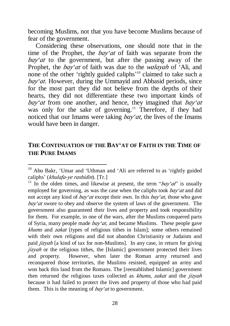becoming Muslims, not that you have become Muslims because of fear of the government.

Considering these observations, one should note that in the time of the Prophet, the *bay'at* of faith was separate from the *bay'at* to the government, but after the passing away of the Prophet, the *bay'at* of faith was due to the *walayah* of 'Ali, and none of the other 'rightly guided caliphs' <sup>10</sup> claimed to take such a *bay'at*. However, during the Ummayid and Abbasid periods, since for the most part they did not believe from the depths of their hearts, they did not differentiate these two important kinds of *bay'at* from one another, and hence, they imagined that *bay'at* was only for the sake of governing.<sup>11</sup> Therefore, if they had noticed that our Imams were taking *bay'at*, the lives of the Imams would have been in danger.

### **THE CONTINUATION OF THE BAY'AT OF FAITH IN THE TIME OF THE PURE IMAMS**

<sup>&</sup>lt;sup>10</sup> Abu Bakr, 'Umar and 'Uthman and 'Ali are referred to as 'rightly guided caliphs' (*khulafa-ye rashidin*). [Tr.]

<sup>&</sup>lt;sup>11</sup> In the olden times, and likewise at present, the term " $bay'at$ " is usually employed for governing, as was the case when the caliphs took *bay'at* and did not accept any kind of *bay'at* except their own. In this *bay'at,* those who gave *bay'at* swore to obey and observe the system of laws of the government. The government also guaranteed their lives and property and took responsibility for them. For example, in one of the wars, after the Muslims conquered parts of Syria, many people made *bay'at,* and became Muslims. These people gave *khums* and *zakat* [types of religious tithes in Islam]; some others remained with their own religions and did not abandon Christianity or Judaism and paid *jizyah* [a kind of tax for non-Muslims]. In any case, in return for giving *jizyah* or the religious tithes, the [Islamic] government protected their lives and property. However, when later the Roman army returned and reconquered those territories, the Muslims resisted, equipped an army and won back this land from the Romans. The [reestablished Islamic] government then returned the religious taxes collected as *khums, zakat* and the *jizyah*  because it had failed to protect the lives and property of those who had paid them. This is the meaning of *bay'at* to government.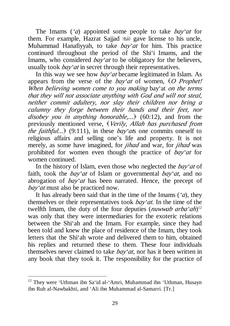The Imams (*'a*) appointed some people to take *bay'at* for them. For example, Hazrat Sajjad save license to his uncle, Muhammad Hanafiyyah, to take *bay'at* for him. This practice continued throughout the period of the Shi'i Imams, and the Imams, who considered *bay'at* to be obligatory for the believers, usually took *bay'at* in secret through their representatives.

In this way we see how *bay'at* became legitimated in Islam. As appears from the verse of the *bay'at* of women, (*<sup>O</sup> Prophet! When believing women come to you making* bay'at *on the terms that they will not associate anything with God and will not steal, neither commit adultery, nor slay their children nor bring <sup>a</sup> calumny they forge between their hands and their feet, nor disobey you in anything honorable,*...) (60:12), and from the previously mentioned verse, (*Verily, Allah has purchased from the faithful...*) (9:111), in these *bay'at*s one commits oneself to religious affairs and selling one's life and property. It is not merely, as some have imagined, for *jihad* and war, for *jihad* was prohibited for women even though the practice of *bay'at* for women continued.

In the history of Islam, even those who neglected the *bay'at* of faith, took the *bay'at* of Islam or governmental *bay'at*, and no abrogation of *bay'at* has been narrated. Hence, the precept of *bay'at* must also be practiced now.

It has already been said that in the time of the Imams (*'a*), they themselves or their representatives took *bay'at*. In the time of the twelfth Imam, the duty of the four deputies (*nuwwab arba'ah*) 12 was only that they were intermediaries for the exoteric relations between the Shi'ah and the Imam. For example, since they had been told and knew the place of residence of the Imam, they took letters that the Shi'ah wrote and delivered them to him, obtained his replies and returned these to them. These four individuals themselves never claimed to take *bay'at*, nor has it been written in any book that they took it. The responsibility for the practice of

 $12$  They were 'Uthman ibn Sa'id al-'Amri, Muhammad ibn 'Uthman, Husayn ibn Ruh al-Nawbakhti, and 'Ali ibn Muhammad al-Samarri. [Tr.]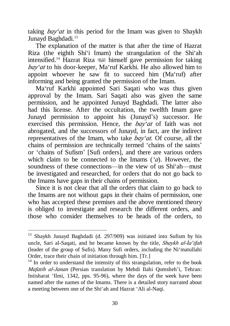taking *bay'at* in this period for the Imam was given to Shaykh Junayd Baghdadi.<sup>13</sup>

The explanation of the matter is that after the time of Hazrat Riza (the eighth Shi'i Imam) the strangulation of the Shi'ah intensified.<sup>14</sup> Hazrat Riza **u** himself gave permission for taking *bay'at* to his door-keeper, Ma'ruf Karkhi. He also allowed him to appoint whoever he saw fit to succeed him (Ma'ruf) after informing and being granted the permission of the Imam.

Ma'ruf Karkhi appointed Sari Saqati who was thus given approval by the Imam. Sari Saqati also was given the same permission, and he appointed Junayd Baghdadi. The latter also had this license. After the occultation, the twelfth Imam gave Junayd permission to appoint his (Junayd's) successor. He exercised this permission. Hence, the *bay'at* of faith was not abrogated, and the successors of Junayd, in fact, are the indirect representatives of the Imam, who take *bay'at.* Of course, all the chains of permission are technically termed 'chains of the saints' or 'chains of Sufism' [Sufi orders], and there are various orders which claim to be connected to the Imams (*'a*). However, the soundness of these connections—in the view of us Shi'ah—must be investigated and researched, for orders that do not go back to the Imams have gaps in their chains of permission.

Since it is not clear that all the orders that claim to go back to the Imams are not without gaps in their chains of permission, one who has accepted these premises and the above mentioned theory is obliged to investigate and research the different orders, and those who consider themselves to be heads of the orders, to

<sup>&</sup>lt;sup>13</sup> Shaykh Junayd Baghdadi (d. 297/909) was initiated into Sufism by his uncle, Sari al-Saqati, and he became known by the title, *Shaykh al-Ìa'ifah* (leader of the group of Sufis). Many Sufi orders, including the Ni'matullahi Order, trace their chain of initiation through him. [Tr.]

 $14$  In order to understand the intensity of this strangulation, refer to the book *Mafatih al-Janan* (Persian translation by Mehdi Ilahi Qomsheh'i, Tehran: Intisharat 'Ilmi, 1342, pps. 95-96), where the days of the week have been named after the names of the Imams. There is a detailed story narrated about a meeting between one of the Shi'ah and Hazrat 'Ali al-Naqi.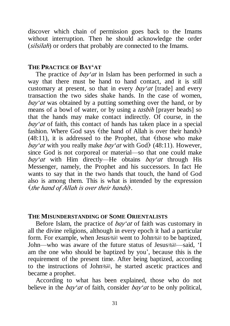discover which chain of permission goes back to the Imams without interruption. Then he should acknowledge the order (*silsilah*) or orders that probably are connected to the Imams.

#### **THE PRACTICE OF BAY'AT**

The practice of *bay'at* in Islam has been performed in such a way that there must be hand to hand contact, and it is still customary at present, so that in every *bay'at* [trade] and every transaction the two sides shake hands. In the case of women, *bay'at* was obtained by a putting something over the hand, or by means of a bowl of water, or by using a *tasbih* [prayer beads] so that the hands may make contact indirectly. Of course, in the *bay'at* of faith, this contact of hands has taken place in a special fashion. Where God says (the hand of Allah is over their hands)  $(48:11)$ , it is addressed to the Prophet, that (those who make *bay'at* with you really make *bay'at* with God) (48:11). However, since God is not corporeal or material—so that one could make *bay'at* with Him directly—He obtains *bay'at* through His Messenger, namely, the Prophet and his successors. In fact He wants to say that in the two hands that touch, the hand of God also is among them. This is what is intended by the expression (*the hand of Allah is over their hands*).

#### **THE MISUNDERSTANDING OF SOME ORIENTALISTS**

Before Islam, the practice of *bay'at* of faith was customary in all the divine religions, although in every epoch it had a particular form. For example, when Jesus is went to John us to be baptized, John—who was aware of the future status of Jesus is estimated. T am the one who should be baptized by you', because this is the requirement of the present time. After being baptized, according to the instructions of Johnsell, he started ascetic practices and became a prophet.

According to what has been explained, those who do not believe in the *bay'at* of faith, consider *bay'at* to be only political,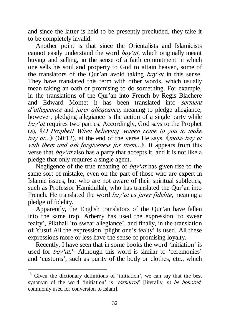and since the latter is held to be presently precluded, they take it to be completely invalid.

Another point is that since the Orientalists and Islamicists cannot easily understand the word *bay'at,* which originally meant buying and selling, in the sense of a faith commitment in which one sells his soul and property to God to attain heaven, some of the translators of the Qur'an avoid taking *bay'at* in this sense. They have translated this term with other words, which usually mean taking an oath or promising to do something. For example, in the translations of the Qur'an into French by Regis Blachere and Edward Montet it has been translated into *serment <sup>d</sup>'allegeance* and *jurer allegeance,* meaning to pledge allegiance; however, pledging allegiance is the action of a single party while *bay'at* requires two parties. Accordingly, God says to the Prophet (*s*), (*<sup>O</sup> Prophet! When believing women come to you to make bay'at...*) (60:12), at the end of the verse He says,  $\langle$  *make bay'at with them and ask forgiveness for them...*). It appears from this verse that *bay'at* also has a party that accepts it, and it is not like a pledge that only requires a single agent.

Negligence of the true meaning of *bay'at* has given rise to the same sort of mistake, even on the part of those who are expert in Islamic issues, but who are not aware of their spiritual subtleties, such as Professor Hamidullah, who has translated the Qur'an into French. He translated the word *bay'at* as *jurer fidelite*, meaning a pledge of fidelity.

Apparently, the English translators of the Qur'an have fallen into the same trap. Arberry has used the expression 'to swear fealty', Pikthall 'to swear allegiance', and finally, in the translation of Yusuf Ali the expression 'plight one's fealty' is used. All these expressions more or less have the sense of promising loyalty.

Recently, I have seen that in some books the word 'initiation' is used for *bay'at*. <sup>15</sup> Although this word is similar to 'ceremonies' and 'customs', such as purity of the body or clothes, etc., which

<sup>&</sup>lt;sup>15</sup> Given the dictionary definitions of 'initiation', we can say that the best synonym of the word 'initiation' is '*tasharruf'* [literally, *to be honored*, commonly used for conversion to Islam].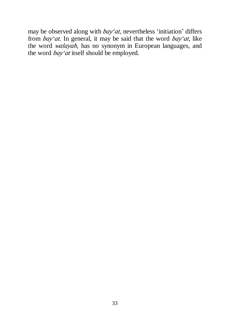may be observed along with *bay'at*, nevertheless 'initiation' differs from *bay'at.* In general, it may be said that the word *bay'at*, like the word *walayah*, has no synonym in European languages, and the word *bay'at* itself should be employed.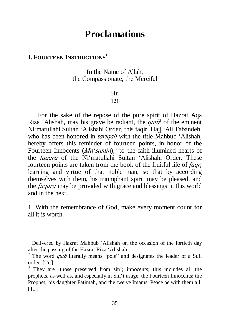# **Proclamations**

# **I. FOURTEEN INSTRUCTIONS**<sup>1</sup>

l

In the Name of Allah, the Compassionate, the Merciful

#### Hu

#### 121

For the sake of the repose of the pure spirit of Hazrat Aqa Riza 'Alishah, may his grave be radiant, the *qutb* 2 of the eminent Ni'matullahi Sultan 'Alishahi Order, this faqir, Hajj 'Ali Tabandeh, who has been honored in *tariqah* with the title Mahbub 'Alishah, hereby offers this reminder of fourteen points, in honor of the Fourteen Innocents  $(Ma'sumi)$ ,<sup>3</sup> to the faith illumined hearts of the *fuqara* of the Ni'matullahi Sultan 'Alishahi Order. These fourteen points are taken from the book of the fruitful life of *faqr*, learning and virtue of that noble man, so that by according themselves with them, his triumphant spirit may be pleased, and the *fuqara* may be provided with grace and blessings in this world and in the next.

1. With the remembrance of God, make every moment count for all it is worth.

<sup>&</sup>lt;sup>1</sup> Delivered by Hazrat Mahbub 'Alishah on the occasion of the fortieth day after the passing of the Hazrat Riza 'Alishah.

<sup>&</sup>lt;sup>2</sup> The word *qutb* literally means "pole" and designates the leader of a Sufi order. [Tr.]

<sup>&</sup>lt;sup>3</sup> They are 'those preserved from sin'; innocents; this includes all the prophets, as well as, and especially in Shi'i usage, the Fourteen Innocents: the Prophet, his daughter Fatimah, and the twelve Imams, Peace be with them all.  $[Tr.]$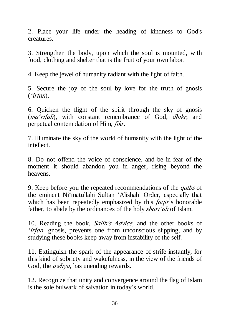2. Place your life under the heading of kindness to God's creatures.

3. Strengthen the body, upon which the soul is mounted, with food, clothing and shelter that is the fruit of your own labor.

4. Keep the jewel of humanity radiant with the light of faith.

5. Secure the joy of the soul by love for the truth of gnosis (*'irfan*).

6. Quicken the flight of the spirit through the sky of gnosis (*ma'rifah*), with constant remembrance of God, *dhikr*, and perpetual contemplation of Him, *fikr*.

7. Illuminate the sky of the world of humanity with the light of the intellect.

8. Do not offend the voice of conscience, and be in fear of the moment it should abandon you in anger, rising beyond the heavens.

9. Keep before you the repeated recommendations of the *qutbs* of the eminent Ni'matullahi Sultan 'Alishahi Order, especially that which has been repeatedly emphasized by this *faqir*'s honorable father, to abide by the ordinances of the holy *shari'ah* of Islam.

10. Reading the book, *Salih's Advice*, and the other books of *'irfan,* gnosis, prevents one from unconscious slipping, and by studying these books keep away from instability of the self.

11. Extinguish the spark of the appearance of strife instantly, for this kind of sobriety and wakefulness, in the view of the friends of God, the *awliya*, has unending rewards.

12. Recognize that unity and convergence around the flag of Islam is the sole bulwark of salvation in today's world.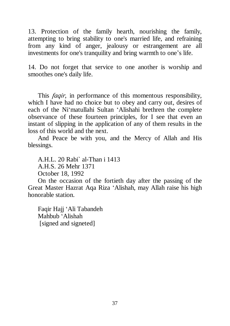13. Protection of the family hearth, nourishing the family, attempting to bring stability to one's married life, and refraining from any kind of anger, jealousy or estrangement are all investments for one's tranquility and bring warmth to one's life.

14. Do not forget that service to one another is worship and smoothes one's daily life.

This *faqir*, in performance of this momentous responsibility, which I have had no choice but to obey and carry out, desires of each of the Ni'matullahi Sultan 'Alishahi brethren the complete observance of these fourteen principles, for I see that even an instant of slipping in the application of any of them results in the loss of this world and the next.

And Peace be with you, and the Mercy of Allah and His blessings.

A.H.L. 20 Rabi` al-Than i 1413 A.H.S. 26 Mehr 1371 October 18, 1992

On the occasion of the fortieth day after the passing of the Great Master Hazrat Aqa Riza 'Alishah, may Allah raise his high honorable station.

Faqir Hajj 'Ali Tabandeh Mahbub 'Alishah [signed and signeted]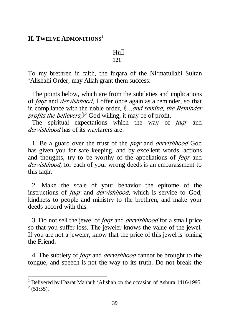### **II. TWELVE ADMONITIONS**<sup>1</sup>

l

### $\text{H}_{\text{H}}$

#### 121

To my brethren in faith, the fuqara of the Ni'matullahi Sultan 'Alishahi Order, may Allah grant them success:

The points below, which are from the subtleties and implications of *faqr* and *dervishhood*, I offer once again as a reminder, so that in compliance with the noble order, (*…and remind, the Reminder profits the believers,*) <sup>2</sup> God willing, it may be of profit.

The spiritual expectations which the way of *faqr* and *dervishhood* has of its wayfarers are:

1. Be a guard over the trust of the *faqr* and *dervishhood* God has given you for safe keeping, and by excellent words, actions and thoughts, try to be worthy of the appellations of *faqr* and *dervishhood*, for each of your wrong deeds is an embarassment to this faqir.

2. Make the scale of your behavior the epitome of the instructions of *faqr* and *dervishhood*, which is service to God, kindness to people and ministry to the brethren, and make your deeds accord with this.

3. Do not sell the jewel of *faqr* and *dervishhood* for a small price so that you suffer loss. The jeweler knows the value of the jewel. If you are not a jeweler, know that the price of this jewel is joining the Friend.

4. The subtlety of *faqr* and *dervishhood* cannot be brought to the tongue, and speech is not the way to its truth. Do not break the

<sup>&</sup>lt;sup>1</sup> Delivered by Hazrat Mahbub 'Alishah on the occasion of Ashura 1416/1995.  $2(51:55)$ .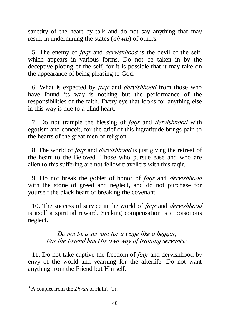sanctity of the heart by talk and do not say anything that may result in undermining the states (*ahwal*) of others.

5. The enemy of *faqr* and *dervishhood* is the devil of the self, which appears in various forms. Do not be taken in by the deceptive ploting of the self, for it is possible that it may take on the appearance of being pleasing to God.

6. What is expected by *faqr* and *dervishhood* from those who have found its way is nothing but the performance of the responsibilities of the faith. Every eye that looks for anything else in this way is due to a blind heart.

7. Do not trample the blessing of *faqr* and *dervishhood* with egotism and conceit, for the grief of this ingratitude brings pain to the hearts of the great men of religion.

8. The world of *faqr* and *dervishhood* is just giving the retreat of the heart to the Beloved. Those who pursue ease and who are alien to this suffering are not fellow travellers with this faqir.

9. Do not break the goblet of honor of *faqr* and *dervishhood* with the stone of greed and neglect, and do not purchase for yourself the black heart of breaking the covenant.

10. The success of service in the world of *faqr* and *dervishhood* is itself a spiritual reward. Seeking compensation is a poisonous neglect.

> *Do not be <sup>a</sup> servant for <sup>a</sup> wage like <sup>a</sup> beggar, For the Friend has His own way of training servants.* 3

11. Do not take captive the freedom of *faqr* and dervishhood by envy of the world and yearning for the afterlife. Do not want anything from the Friend but Himself.

<sup>&</sup>lt;sup>3</sup> A couplet from the *Divan* of Hafiî. [Tr.]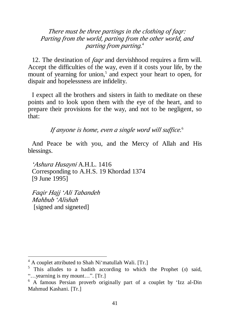*There must be three partings in the clothing of faqr: Parting from the world, parting from the other world, and parting from parting.* 4

12. The destination of *faqr* and dervishhood requires a firm will. Accept the difficulties of the way, even if it costs your life, by the mount of yearning for union,<sup>5</sup> and expect your heart to open, for dispair and hopelessness are infidelity.

I expect all the brothers and sisters in faith to meditate on these points and to look upon them with the eye of the heart, and to prepare their provisions for the way, and not to be negligent, so that:

*If anyone is home, even <sup>a</sup> single word will suffice.* 6

And Peace be with you, and the Mercy of Allah and His blessings.

*'Ashura Husayni* A.H.L. 1416 Corresponding to A.H.S. 19 Khordad 1374 [9 June 1995]

*Faqir Hajj 'Ali Tabandeh Mahbub 'Alishah* [signed and signeted]

<sup>4</sup> A couplet attributed to Shah Ni'matullah Wali. [Tr.]

<sup>5</sup> This alludes to a hadith according to which the Prophet (*s*) said, "…yearning is my mount…". [Tr.]

<sup>6</sup> A famous Persian proverb originally part of a couplet by 'Izz al-Din Mahmud Kashani. [Tr.]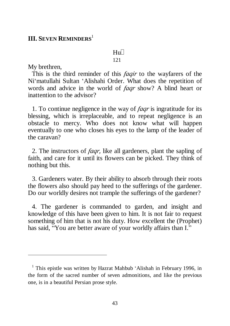### **III. SEVEN REMINDERS**<sup>1</sup>

 $\text{H}_{\text{H}}$ 

#### 121

My brethren,

l

This is the third reminder of this *faqir* to the wayfarers of the Ni'matullahi Sultan 'Alishahi Order. What does the repetition of words and advice in the world of *faqr* show? A blind heart or inattention to the advisor?

1. To continue negligence in the way of *faqr* is ingratitude for its blessing, which is irreplaceable, and to repeat negligence is an obstacle to mercy. Who does not know what will happen eventually to one who closes his eyes to the lamp of the leader of the caravan?

2. The instructors of *faqr,* like all gardeners, plant the sapling of faith, and care for it until its flowers can be picked. They think of nothing but this.

3. Gardeners water. By their ability to absorb through their roots the flowers also should pay heed to the sufferings of the gardener. Do our worldly desires not trample the sufferings of the gardener?

4. The gardener is commanded to garden, and insight and knowledge of this have been given to him. It is not fair to request something of him that is not his duty. How excellent the (Prophet) has said, "You are better aware of your worldly affairs than I."

 $1$  This epistle was written by Hazrat Mahbub 'Alishah in February 1996, in the form of the sacred number of seven admonitions, and like the previous one, is in a beautiful Persian prose style.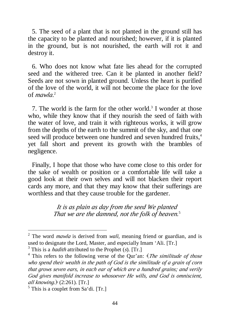5. The seed of a plant that is not planted in the ground still has the capacity to be planted and nourished; however, if it is planted in the ground, but is not nourished, the earth will rot it and destroy it.

6. Who does not know what fate lies ahead for the corrupted seed and the withered tree. Can it be planted in another field? Seeds are not sown in planted ground. Unless the heart is purified of the love of the world, it will not become the place for the love of *mawla*. 2

7. The world is the farm for the other world.<sup>3</sup> I wonder at those who, while they know that if they nourish the seed of faith with the water of love, and train it with righteous works, it will grow from the depths of the earth to the summit of the sky, and that one seed will produce between one hundred and seven hundred fruits,<sup>4</sup> yet fall short and prevent its growth with the brambles of negligence.

Finally, I hope that those who have come close to this order for the sake of wealth or position or a comfortable life will take a good look at their own selves and will not blacken their report cards any more, and that they may know that their sufferings are worthless and that they cause trouble for the gardener.

> *It is as plain as day from the seed We planted That we are the damned, not the folk of heaven.* 5

<sup>2</sup> The word *mawla* is derived from *wali*, meaning friend or guardian, and is used to designate the Lord, Master, and especially Imam 'Ali. [Tr.]

<sup>3</sup> This is a *hadith* attributed to the Prophet (*s*). [Tr.]

<sup>4</sup> This refers to the following verse of the Qur'an: (*The similitude of those who spend their wealth in the path of God is the similitude of <sup>a</sup> grain of corn that grows seven ears, in each ear of which are <sup>a</sup> hundred grains; and verily God gives manifold increase to whosoever He wills, and God is omniscient, all knowing.*) (2:261). [Tr.]

 $<sup>5</sup>$  This is a couplet from Sa'di. [Tr.]</sup>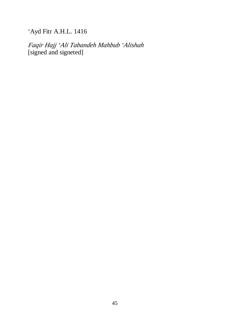'Ayd Fitr A.H.L. 1416

*Faqir Hajj 'Ali Tabandeh Mahbub 'Alishah* [signed and signeted]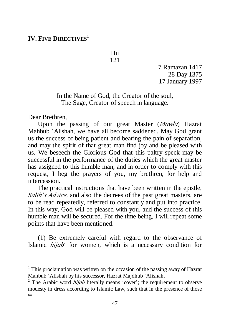# **IV. FIVE DIRECTIVES**<sup>1</sup>

Hu 121

> 7 Ramazan 1417 28 Day 1375 17 January 1997

In the Name of God, the Creator of the soul, The Sage, Creator of speech in language.

Dear Brethren,

l

Upon the passing of our great Master (*Mawla*) Hazrat Mahbub 'Alishah, we have all become saddened. May God grant us the success of being patient and bearing the pain of separation, and may the spirit of that great man find joy and be pleased with us. We beseech the Glorious God that this paltry speck may be successful in the performance of the duties which the great master has assigned to this humble man, and in order to comply with this request, I beg the prayers of you, my brethren, for help and intercession.

The practical instructions that have been written in the epistle, *Salih'<sup>s</sup> Advice,* and also the decrees of the past great masters, are to be read repeatedly, referred to constantly and put into practice. In this way, God will be pleased with you, and the success of this humble man will be secured. For the time being, I will repeat some points that have been mentioned.

(1) Be extremely careful with regard to the observance of Islamic *hijab* 2 for women, which is a necessary condition for

 $1$ <sup>1</sup> This proclamation was written on the occasion of the passing away of Hazrat Mahbub 'Alishah by his successor, Hazrat Majdhub 'Alishah.

<sup>2</sup> The Arabic word *hijab* literally means 'cover'; the requirement to observe modesty in dress according to Islamic Law, such that in the presence of those ð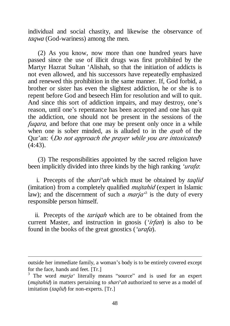individual and social chastity, and likewise the observance of *taqwa* (God-wariness) among the men.

(2) As you know, now more than one hundred years have passed since the use of illicit drugs was first prohibited by the Martyr Hazrat Sultan 'Alishah, so that the initiation of addicts is not even allowed, and his successors have repeatedly emphasized and renewed this prohibition in the same manner. If, God forbid, a brother or sister has even the slightest addiction, he or she is to repent before God and beseech Him for resolution and will to quit. And since this sort of addiction impairs, and may destroy, one's reason, until one's repentance has been accepted and one has quit the addiction, one should not be present in the sessions of the *fuqara*, and before that one may be present only once in a while when one is sober minded, as is alluded to in the *ayah* of the Qur'an: (*Do not approach the prayer while you are intoxicated*) (4:43).

(3) The responsibilities appointed by the sacred religion have been implicitly divided into three kinds by the high ranking *'urafa*:

i. Precepts of the *shari'ah* which must be obtained by *taqlid*  (imitation) from a completely qualified *mujtahid* (expert in Islamic law); and the discernment of such a *marja*<sup>3</sup> is the duty of every responsible person himself.

ii. Precepts of the *tariqah* which are to be obtained from the current Master, and instruction in gnosis (*'irfan*) is also to be found in the books of the great gnostics (*'urafa*).

outside her immediate family, a woman's body is to be entirely covered except for the face, hands and feet. [Tr.]

<sup>3</sup> The word *marja'* literally means "source" and is used for an expert (*mujtahid*) in matters pertaining to *shari'ah* authorized to serve as a model of imitation (*taqlid*) for non-experts. [Tr.]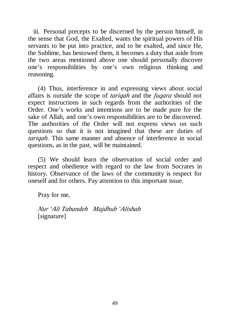iii. Personal precepts to be discerned by the person himself, in the sense that God, the Exalted, wants the spiritual powers of His servants to be put into practice, and to be exalted, and since He, the Sublime, has bestowed them, it becomes a duty that aside from the two areas mentioned above one should personally discover one's responsibilities by one's own religious thinking and reasoning.

(4) Thus, interference in and expressing views about social affairs is outside the scope of *tariqah* and the *fuqara* should not expect instructions in such regards from the authorities of the Order. One's works and intentions are to be made pure for the sake of Allah, and one's own responsibilities are to be discovered. The authorities of the Order will not express views on such questions so that it is not imagined that these are duties of *tariqah*. This same manner and absence of interference in social questions, as in the past, will be maintained.

(5) We should learn the observation of social order and respect and obedience with regard to the law from Socrates in history. Observance of the laws of the community is respect for oneself and for others. Pay attention to this important issue.

Pray for me,

*Nur 'Ali Tabandeh Majdhub 'Alishah*  [signature]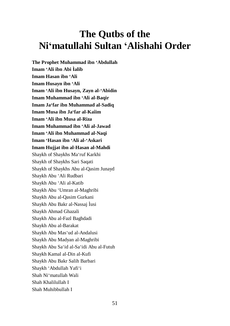# **The Qutbs of the Ni'matullahi Sultan 'Alishahi Order**

**The Prophet Muhammad ibn 'Abdullah Imam 'Ali ibn Abi Ìalib Imam Hasan ibn 'Ali Imam Husayn ibn 'Ali Imam 'Ali ibn Husayn, Zayn al-'Abidin Imam Muhammad ibn 'Ali al-Baqir Imam Ja'far ibn Muhammad al-Sadiq Imam Musa ibn Ja'far al-Kaîim Imam 'Ali ibn Musa al-Riza Imam Muhammad ibn 'Ali al-Jawad Imam 'Ali ibn Muhammad al-Naqi Imam 'Hasan ibn 'Ali al-'Askari Imam Hujjat ibn al-Hasan al-Mahdi**  Shaykh of Shaykhs Ma'ruf Karkhi Shaykh of Shaykhs Sari Saqati Shaykh of Shaykhs Abu al-Qasim Junayd Shaykh Abu 'Ali Rudbari Shaykh Abu 'Ali al-Katib Shaykh Abu 'Umran al-Maghribi Shaykh Abu al-Qasim Gurkani Shaykh Abu Bakr al-Nassaj Ìusi Shaykh Ahmad Ghazali Shaykh Abu al-Fazl Baghdadi Shaykh Abu al-Barakat Shaykh Abu Mas'ud al-Andalusi Shaykh Abu Madyan al-Maghribi Shaykh Abu Sa'id al-Sa'idi Abu al-Futuh Shaykh Kamal al-Din al-Kufi Shaykh Abu Bakr Salih Barbari Shaykh 'Abdullah Yafi'i Shah Ni'matullah Wali Shah Khalilullah I Shah Muhibbullah I